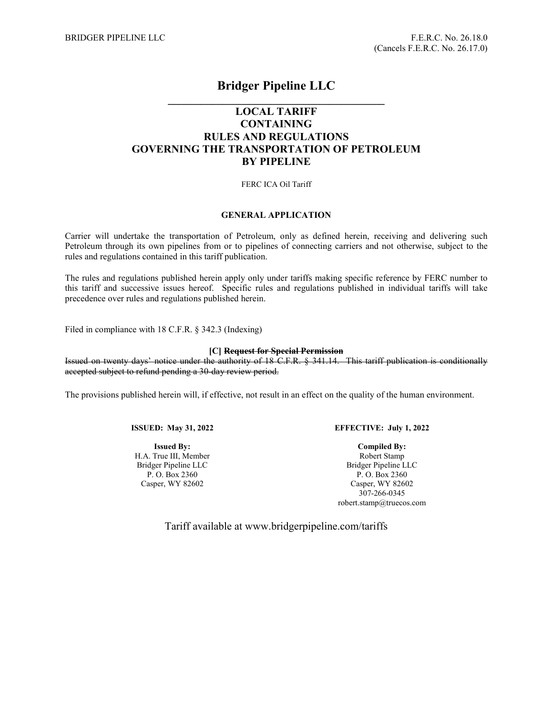# **Bridger Pipeline LLC**

# **\_\_\_\_\_\_\_\_\_\_\_\_\_\_\_\_\_\_\_\_\_\_\_\_\_\_\_\_\_\_\_\_\_\_\_\_\_\_\_\_ LOCAL TARIFF CONTAINING RULES AND REGULATIONS GOVERNING THE TRANSPORTATION OF PETROLEUM BY PIPELINE**

# FERC ICA Oil Tariff

# **GENERAL APPLICATION**

Carrier will undertake the transportation of Petroleum, only as defined herein, receiving and delivering such Petroleum through its own pipelines from or to pipelines of connecting carriers and not otherwise, subject to the rules and regulations contained in this tariff publication.

The rules and regulations published herein apply only under tariffs making specific reference by FERC number to this tariff and successive issues hereof. Specific rules and regulations published in individual tariffs will take precedence over rules and regulations published herein.

Filed in compliance with 18 C.F.R. § 342.3 (Indexing)

# **[C] Request for Special Permission**

Issued on twenty days' notice under the authority of 18 C.F.R. § 341.14. This tariff publication is conditionally accepted subject to refund pending a 30-day review period.

The provisions published herein will, if effective, not result in an effect on the quality of the human environment.

**ISSUED: May 31, 2022**

**Issued By:** H.A. True III, Member Bridger Pipeline LLC P. O. Box 2360 Casper, WY 82602

#### **EFFECTIVE: July 1, 2022**

**Compiled By:** Robert Stamp Bridger Pipeline LLC P. O. Box 2360 Casper, WY 82602 307-266-0345 [robert.stamp@truecos.com](mailto:robert.stamp@truecos.com)

Tariff available at www.bridgerpipeline.com/tariffs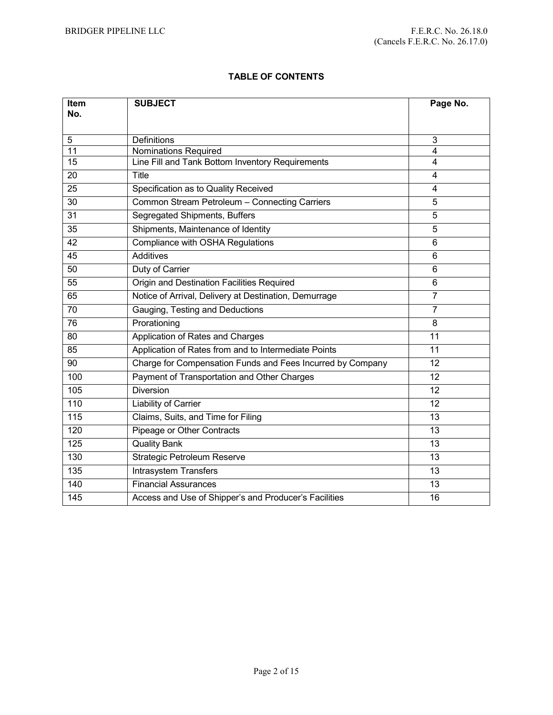# **TABLE OF CONTENTS**

| Item             | <b>SUBJECT</b>                                             | Page No.       |
|------------------|------------------------------------------------------------|----------------|
| No.              |                                                            |                |
| 5                | <b>Definitions</b>                                         | 3              |
| 11               | <b>Nominations Required</b>                                | 4              |
| 15               | Line Fill and Tank Bottom Inventory Requirements           | 4              |
| 20               | Title                                                      | 4              |
| 25               | Specification as to Quality Received                       | 4              |
| $\overline{30}$  | Common Stream Petroleum - Connecting Carriers              | 5              |
| 31               | Segregated Shipments, Buffers                              | 5              |
| 35               | Shipments, Maintenance of Identity                         | 5              |
| $\overline{42}$  | <b>Compliance with OSHA Regulations</b>                    | 6              |
| 45               | Additives                                                  | 6              |
| 50               | Duty of Carrier                                            | 6              |
| 55               | Origin and Destination Facilities Required                 | 6              |
| 65               | Notice of Arrival, Delivery at Destination, Demurrage      | $\overline{7}$ |
| 70               | Gauging, Testing and Deductions                            | $\overline{7}$ |
| 76               | Prorationing                                               | 8              |
| 80               | Application of Rates and Charges                           | 11             |
| 85               | Application of Rates from and to Intermediate Points       | 11             |
| 90               | Charge for Compensation Funds and Fees Incurred by Company | 12             |
| 100              | Payment of Transportation and Other Charges                | 12             |
| 105              | <b>Diversion</b>                                           | 12             |
| 110              | Liability of Carrier                                       | 12             |
| 115              | Claims, Suits, and Time for Filing                         | 13             |
| 120              | Pipeage or Other Contracts                                 | 13             |
| 125              | <b>Quality Bank</b>                                        | 13             |
| 130              | Strategic Petroleum Reserve                                | 13             |
| 135              | <b>Intrasystem Transfers</b>                               | 13             |
| $\overline{140}$ | <b>Financial Assurances</b>                                | 13             |
| 145              | Access and Use of Shipper's and Producer's Facilities      | 16             |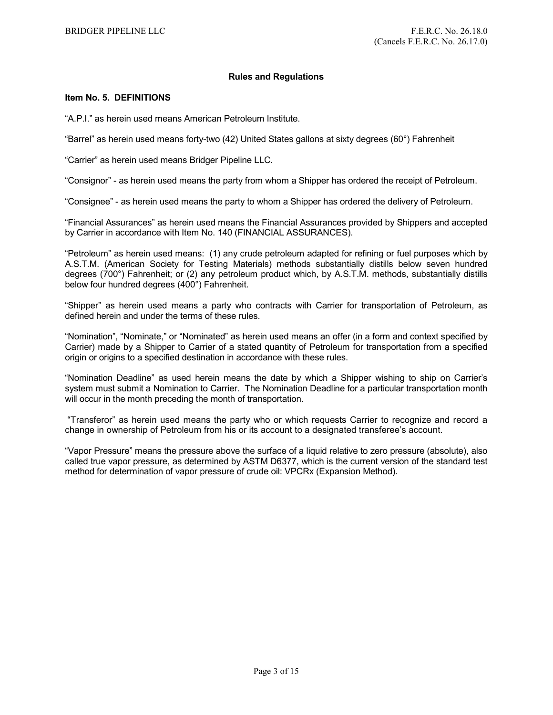# **Rules and Regulations**

# **Item No. 5. DEFINITIONS**

"A.P.I." as herein used means American Petroleum Institute.

"Barrel" as herein used means forty-two (42) United States gallons at sixty degrees (60°) Fahrenheit

"Carrier" as herein used means Bridger Pipeline LLC.

"Consignor" - as herein used means the party from whom a Shipper has ordered the receipt of Petroleum.

"Consignee" - as herein used means the party to whom a Shipper has ordered the delivery of Petroleum.

"Financial Assurances" as herein used means the Financial Assurances provided by Shippers and accepted by Carrier in accordance with Item No. 140 (FINANCIAL ASSURANCES).

"Petroleum" as herein used means: (1) any crude petroleum adapted for refining or fuel purposes which by A.S.T.M. (American Society for Testing Materials) methods substantially distills below seven hundred degrees (700°) Fahrenheit; or (2) any petroleum product which, by A.S.T.M. methods, substantially distills below four hundred degrees (400°) Fahrenheit.

"Shipper" as herein used means a party who contracts with Carrier for transportation of Petroleum, as defined herein and under the terms of these rules.

"Nomination", "Nominate," or "Nominated" as herein used means an offer (in a form and context specified by Carrier) made by a Shipper to Carrier of a stated quantity of Petroleum for transportation from a specified origin or origins to a specified destination in accordance with these rules.

"Nomination Deadline" as used herein means the date by which a Shipper wishing to ship on Carrier's system must submit a Nomination to Carrier. The Nomination Deadline for a particular transportation month will occur in the month preceding the month of transportation.

"Transferor" as herein used means the party who or which requests Carrier to recognize and record a change in ownership of Petroleum from his or its account to a designated transferee's account.

"Vapor Pressure" means the pressure above the surface of a liquid relative to zero pressure (absolute), also called true vapor pressure, as determined by ASTM D6377, which is the current version of the standard test method for determination of vapor pressure of crude oil: VPCRx (Expansion Method).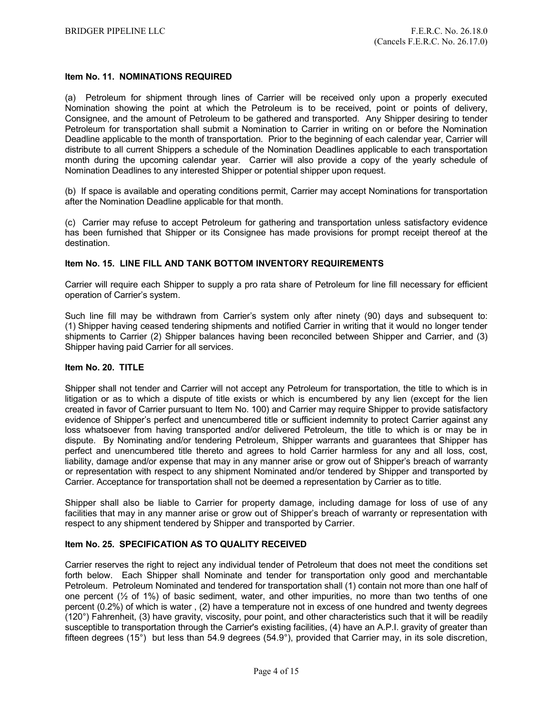# **Item No. 11. NOMINATIONS REQUIRED**

(a) Petroleum for shipment through lines of Carrier will be received only upon a properly executed Nomination showing the point at which the Petroleum is to be received, point or points of delivery, Consignee, and the amount of Petroleum to be gathered and transported. Any Shipper desiring to tender Petroleum for transportation shall submit a Nomination to Carrier in writing on or before the Nomination Deadline applicable to the month of transportation. Prior to the beginning of each calendar year, Carrier will distribute to all current Shippers a schedule of the Nomination Deadlines applicable to each transportation month during the upcoming calendar year. Carrier will also provide a copy of the yearly schedule of Nomination Deadlines to any interested Shipper or potential shipper upon request.

(b) If space is available and operating conditions permit, Carrier may accept Nominations for transportation after the Nomination Deadline applicable for that month.

(c) Carrier may refuse to accept Petroleum for gathering and transportation unless satisfactory evidence has been furnished that Shipper or its Consignee has made provisions for prompt receipt thereof at the destination.

# **Item No. 15. LINE FILL AND TANK BOTTOM INVENTORY REQUIREMENTS**

Carrier will require each Shipper to supply a pro rata share of Petroleum for line fill necessary for efficient operation of Carrier's system.

Such line fill may be withdrawn from Carrier's system only after ninety (90) days and subsequent to: (1) Shipper having ceased tendering shipments and notified Carrier in writing that it would no longer tender shipments to Carrier (2) Shipper balances having been reconciled between Shipper and Carrier, and (3) Shipper having paid Carrier for all services.

#### **Item No. 20. TITLE**

Shipper shall not tender and Carrier will not accept any Petroleum for transportation, the title to which is in litigation or as to which a dispute of title exists or which is encumbered by any lien (except for the lien created in favor of Carrier pursuant to Item No. 100) and Carrier may require Shipper to provide satisfactory evidence of Shipper's perfect and unencumbered title or sufficient indemnity to protect Carrier against any loss whatsoever from having transported and/or delivered Petroleum, the title to which is or may be in dispute. By Nominating and/or tendering Petroleum, Shipper warrants and guarantees that Shipper has perfect and unencumbered title thereto and agrees to hold Carrier harmless for any and all loss, cost, liability, damage and/or expense that may in any manner arise or grow out of Shipper's breach of warranty or representation with respect to any shipment Nominated and/or tendered by Shipper and transported by Carrier. Acceptance for transportation shall not be deemed a representation by Carrier as to title.

Shipper shall also be liable to Carrier for property damage, including damage for loss of use of any facilities that may in any manner arise or grow out of Shipper's breach of warranty or representation with respect to any shipment tendered by Shipper and transported by Carrier.

#### **Item No. 25. SPECIFICATION AS TO QUALITY RECEIVED**

Carrier reserves the right to reject any individual tender of Petroleum that does not meet the conditions set forth below. Each Shipper shall Nominate and tender for transportation only good and merchantable Petroleum. Petroleum Nominated and tendered for transportation shall (1) contain not more than one half of one percent (½ of 1%) of basic sediment, water, and other impurities, no more than two tenths of one percent (0.2%) of which is water , (2) have a temperature not in excess of one hundred and twenty degrees (120°) Fahrenheit, (3) have gravity, viscosity, pour point, and other characteristics such that it will be readily susceptible to transportation through the Carrier's existing facilities, (4) have an A.P.I. gravity of greater than fifteen degrees (15°) but less than 54.9 degrees (54.9°), provided that Carrier may, in its sole discretion,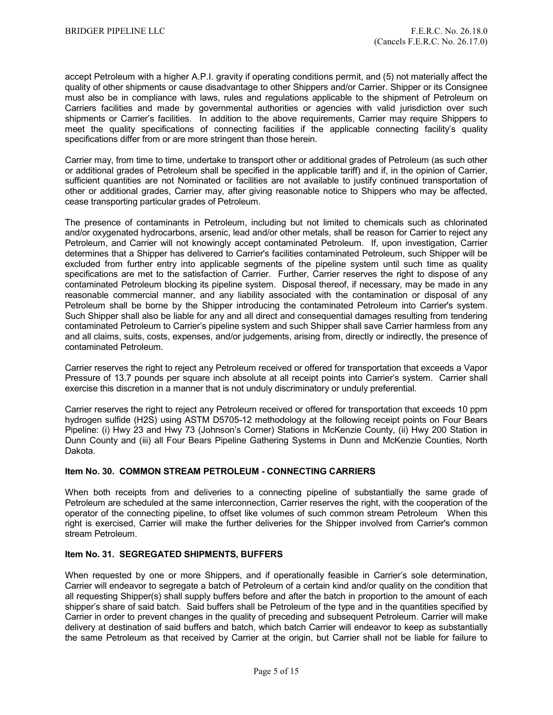accept Petroleum with a higher A.P.I. gravity if operating conditions permit, and (5) not materially affect the quality of other shipments or cause disadvantage to other Shippers and/or Carrier. Shipper or its Consignee must also be in compliance with laws, rules and regulations applicable to the shipment of Petroleum on Carriers facilities and made by governmental authorities or agencies with valid jurisdiction over such shipments or Carrier's facilities. In addition to the above requirements, Carrier may require Shippers to meet the quality specifications of connecting facilities if the applicable connecting facility's quality specifications differ from or are more stringent than those herein.

Carrier may, from time to time, undertake to transport other or additional grades of Petroleum (as such other or additional grades of Petroleum shall be specified in the applicable tariff) and if, in the opinion of Carrier, sufficient quantities are not Nominated or facilities are not available to justify continued transportation of other or additional grades, Carrier may, after giving reasonable notice to Shippers who may be affected, cease transporting particular grades of Petroleum.

The presence of contaminants in Petroleum, including but not limited to chemicals such as chlorinated and/or oxygenated hydrocarbons, arsenic, lead and/or other metals, shall be reason for Carrier to reject any Petroleum, and Carrier will not knowingly accept contaminated Petroleum. If, upon investigation, Carrier determines that a Shipper has delivered to Carrier's facilities contaminated Petroleum, such Shipper will be excluded from further entry into applicable segments of the pipeline system until such time as quality specifications are met to the satisfaction of Carrier. Further, Carrier reserves the right to dispose of any contaminated Petroleum blocking its pipeline system. Disposal thereof, if necessary, may be made in any reasonable commercial manner, and any liability associated with the contamination or disposal of any Petroleum shall be borne by the Shipper introducing the contaminated Petroleum into Carrier's system. Such Shipper shall also be liable for any and all direct and consequential damages resulting from tendering contaminated Petroleum to Carrier's pipeline system and such Shipper shall save Carrier harmless from any and all claims, suits, costs, expenses, and/or judgements, arising from, directly or indirectly, the presence of contaminated Petroleum.

Carrier reserves the right to reject any Petroleum received or offered for transportation that exceeds a Vapor Pressure of 13.7 pounds per square inch absolute at all receipt points into Carrier's system. Carrier shall exercise this discretion in a manner that is not unduly discriminatory or unduly preferential.

Carrier reserves the right to reject any Petroleum received or offered for transportation that exceeds 10 ppm hydrogen sulfide (H2S) using ASTM D5705-12 methodology at the following receipt points on Four Bears Pipeline: (i) Hwy 23 and Hwy 73 (Johnson's Corner) Stations in McKenzie County, (ii) Hwy 200 Station in Dunn County and (iii) all Four Bears Pipeline Gathering Systems in Dunn and McKenzie Counties, North Dakota.

# **Item No. 30. COMMON STREAM PETROLEUM - CONNECTING CARRIERS**

When both receipts from and deliveries to a connecting pipeline of substantially the same grade of Petroleum are scheduled at the same interconnection, Carrier reserves the right, with the cooperation of the operator of the connecting pipeline, to offset like volumes of such common stream Petroleum When this right is exercised, Carrier will make the further deliveries for the Shipper involved from Carrier's common stream Petroleum.

#### **Item No. 31. SEGREGATED SHIPMENTS, BUFFERS**

When requested by one or more Shippers, and if operationally feasible in Carrier's sole determination, Carrier will endeavor to segregate a batch of Petroleum of a certain kind and/or quality on the condition that all requesting Shipper(s) shall supply buffers before and after the batch in proportion to the amount of each shipper's share of said batch. Said buffers shall be Petroleum of the type and in the quantities specified by Carrier in order to prevent changes in the quality of preceding and subsequent Petroleum. Carrier will make delivery at destination of said buffers and batch, which batch Carrier will endeavor to keep as substantially the same Petroleum as that received by Carrier at the origin, but Carrier shall not be liable for failure to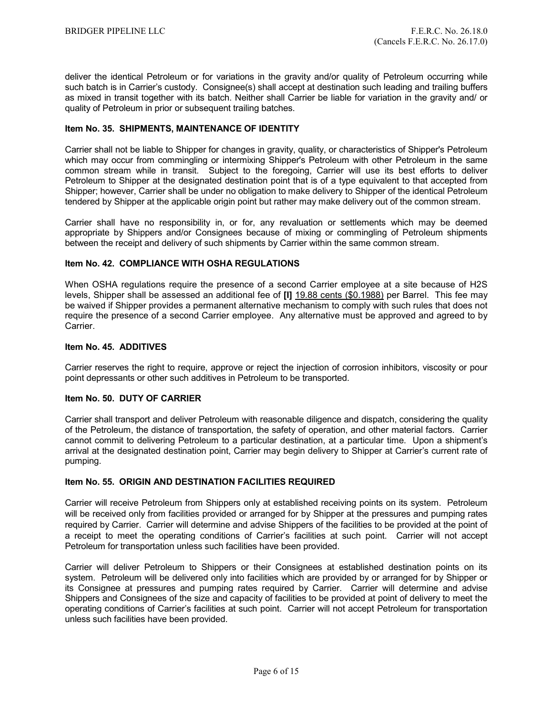deliver the identical Petroleum or for variations in the gravity and/or quality of Petroleum occurring while such batch is in Carrier's custody. Consignee(s) shall accept at destination such leading and trailing buffers as mixed in transit together with its batch. Neither shall Carrier be liable for variation in the gravity and/ or quality of Petroleum in prior or subsequent trailing batches.

# **Item No. 35. SHIPMENTS, MAINTENANCE OF IDENTITY**

Carrier shall not be liable to Shipper for changes in gravity, quality, or characteristics of Shipper's Petroleum which may occur from commingling or intermixing Shipper's Petroleum with other Petroleum in the same common stream while in transit. Subject to the foregoing, Carrier will use its best efforts to deliver Petroleum to Shipper at the designated destination point that is of a type equivalent to that accepted from Shipper; however, Carrier shall be under no obligation to make delivery to Shipper of the identical Petroleum tendered by Shipper at the applicable origin point but rather may make delivery out of the common stream.

Carrier shall have no responsibility in, or for, any revaluation or settlements which may be deemed appropriate by Shippers and/or Consignees because of mixing or commingling of Petroleum shipments between the receipt and delivery of such shipments by Carrier within the same common stream.

# **Item No. 42. COMPLIANCE WITH OSHA REGULATIONS**

When OSHA regulations require the presence of a second Carrier employee at a site because of H2S levels, Shipper shall be assessed an additional fee of **[I]** 19.88 cents (\$0.1988) per Barrel. This fee may be waived if Shipper provides a permanent alternative mechanism to comply with such rules that does not require the presence of a second Carrier employee. Any alternative must be approved and agreed to by Carrier.

# **Item No. 45. ADDITIVES**

Carrier reserves the right to require, approve or reject the injection of corrosion inhibitors, viscosity or pour point depressants or other such additives in Petroleum to be transported.

#### **Item No. 50. DUTY OF CARRIER**

Carrier shall transport and deliver Petroleum with reasonable diligence and dispatch, considering the quality of the Petroleum, the distance of transportation, the safety of operation, and other material factors. Carrier cannot commit to delivering Petroleum to a particular destination, at a particular time. Upon a shipment's arrival at the designated destination point, Carrier may begin delivery to Shipper at Carrier's current rate of pumping.

# **Item No. 55. ORIGIN AND DESTINATION FACILITIES REQUIRED**

Carrier will receive Petroleum from Shippers only at established receiving points on its system. Petroleum will be received only from facilities provided or arranged for by Shipper at the pressures and pumping rates required by Carrier. Carrier will determine and advise Shippers of the facilities to be provided at the point of a receipt to meet the operating conditions of Carrier's facilities at such point. Carrier will not accept Petroleum for transportation unless such facilities have been provided.

Carrier will deliver Petroleum to Shippers or their Consignees at established destination points on its system. Petroleum will be delivered only into facilities which are provided by or arranged for by Shipper or its Consignee at pressures and pumping rates required by Carrier. Carrier will determine and advise Shippers and Consignees of the size and capacity of facilities to be provided at point of delivery to meet the operating conditions of Carrier's facilities at such point. Carrier will not accept Petroleum for transportation unless such facilities have been provided.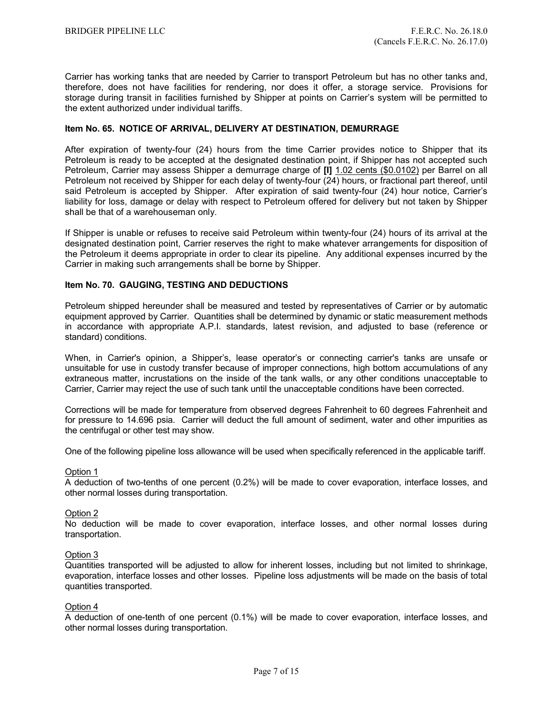Carrier has working tanks that are needed by Carrier to transport Petroleum but has no other tanks and, therefore, does not have facilities for rendering, nor does it offer, a storage service. Provisions for storage during transit in facilities furnished by Shipper at points on Carrier's system will be permitted to the extent authorized under individual tariffs.

# **Item No. 65. NOTICE OF ARRIVAL, DELIVERY AT DESTINATION, DEMURRAGE**

After expiration of twenty-four (24) hours from the time Carrier provides notice to Shipper that its Petroleum is ready to be accepted at the designated destination point, if Shipper has not accepted such Petroleum, Carrier may assess Shipper a demurrage charge of **[I]** 1.02 cents (\$0.0102) per Barrel on all Petroleum not received by Shipper for each delay of twenty-four (24) hours, or fractional part thereof, until said Petroleum is accepted by Shipper. After expiration of said twenty-four (24) hour notice, Carrier's liability for loss, damage or delay with respect to Petroleum offered for delivery but not taken by Shipper shall be that of a warehouseman only.

If Shipper is unable or refuses to receive said Petroleum within twenty-four (24) hours of its arrival at the designated destination point, Carrier reserves the right to make whatever arrangements for disposition of the Petroleum it deems appropriate in order to clear its pipeline. Any additional expenses incurred by the Carrier in making such arrangements shall be borne by Shipper.

# **Item No. 70. GAUGING, TESTING AND DEDUCTIONS**

Petroleum shipped hereunder shall be measured and tested by representatives of Carrier or by automatic equipment approved by Carrier. Quantities shall be determined by dynamic or static measurement methods in accordance with appropriate A.P.I. standards, latest revision, and adjusted to base (reference or standard) conditions.

When, in Carrier's opinion, a Shipper's, lease operator's or connecting carrier's tanks are unsafe or unsuitable for use in custody transfer because of improper connections, high bottom accumulations of any extraneous matter, incrustations on the inside of the tank walls, or any other conditions unacceptable to Carrier, Carrier may reject the use of such tank until the unacceptable conditions have been corrected.

Corrections will be made for temperature from observed degrees Fahrenheit to 60 degrees Fahrenheit and for pressure to 14.696 psia. Carrier will deduct the full amount of sediment, water and other impurities as the centrifugal or other test may show.

One of the following pipeline loss allowance will be used when specifically referenced in the applicable tariff.

#### Option 1

A deduction of two-tenths of one percent (0.2%) will be made to cover evaporation, interface losses, and other normal losses during transportation.

#### Option 2

No deduction will be made to cover evaporation, interface losses, and other normal losses during transportation.

#### Option 3

Quantities transported will be adjusted to allow for inherent losses, including but not limited to shrinkage, evaporation, interface losses and other losses. Pipeline loss adjustments will be made on the basis of total quantities transported.

#### Option 4

A deduction of one-tenth of one percent (0.1%) will be made to cover evaporation, interface losses, and other normal losses during transportation.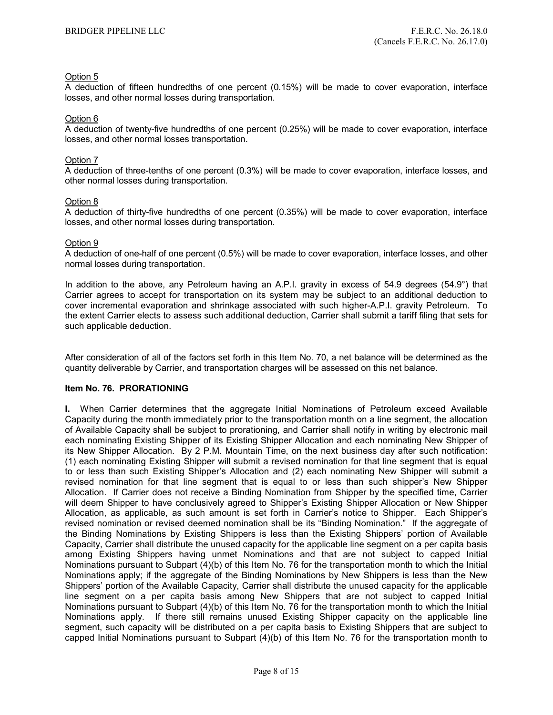# Option 5

A deduction of fifteen hundredths of one percent (0.15%) will be made to cover evaporation, interface losses, and other normal losses during transportation.

#### Option 6

A deduction of twenty-five hundredths of one percent (0.25%) will be made to cover evaporation, interface losses, and other normal losses transportation.

#### Option 7

A deduction of three-tenths of one percent (0.3%) will be made to cover evaporation, interface losses, and other normal losses during transportation.

# Option 8

A deduction of thirty-five hundredths of one percent (0.35%) will be made to cover evaporation, interface losses, and other normal losses during transportation.

#### Option 9

A deduction of one-half of one percent (0.5%) will be made to cover evaporation, interface losses, and other normal losses during transportation.

In addition to the above, any Petroleum having an A.P.I. gravity in excess of 54.9 degrees (54.9°) that Carrier agrees to accept for transportation on its system may be subject to an additional deduction to cover incremental evaporation and shrinkage associated with such higher-A.P.I. gravity Petroleum. To the extent Carrier elects to assess such additional deduction, Carrier shall submit a tariff filing that sets for such applicable deduction.

After consideration of all of the factors set forth in this Item No. 70, a net balance will be determined as the quantity deliverable by Carrier, and transportation charges will be assessed on this net balance.

# **Item No. 76. PRORATIONING**

**I.** When Carrier determines that the aggregate Initial Nominations of Petroleum exceed Available Capacity during the month immediately prior to the transportation month on a line segment, the allocation of Available Capacity shall be subject to prorationing, and Carrier shall notify in writing by electronic mail each nominating Existing Shipper of its Existing Shipper Allocation and each nominating New Shipper of its New Shipper Allocation. By 2 P.M. Mountain Time, on the next business day after such notification: (1) each nominating Existing Shipper will submit a revised nomination for that line segment that is equal to or less than such Existing Shipper's Allocation and (2) each nominating New Shipper will submit a revised nomination for that line segment that is equal to or less than such shipper's New Shipper Allocation. If Carrier does not receive a Binding Nomination from Shipper by the specified time, Carrier will deem Shipper to have conclusively agreed to Shipper's Existing Shipper Allocation or New Shipper Allocation, as applicable, as such amount is set forth in Carrier's notice to Shipper. Each Shipper's revised nomination or revised deemed nomination shall be its "Binding Nomination." If the aggregate of the Binding Nominations by Existing Shippers is less than the Existing Shippers' portion of Available Capacity, Carrier shall distribute the unused capacity for the applicable line segment on a per capita basis among Existing Shippers having unmet Nominations and that are not subject to capped Initial Nominations pursuant to Subpart (4)(b) of this Item No. 76 for the transportation month to which the Initial Nominations apply; if the aggregate of the Binding Nominations by New Shippers is less than the New Shippers' portion of the Available Capacity, Carrier shall distribute the unused capacity for the applicable line segment on a per capita basis among New Shippers that are not subject to capped Initial Nominations pursuant to Subpart (4)(b) of this Item No. 76 for the transportation month to which the Initial Nominations apply. If there still remains unused Existing Shipper capacity on the applicable line segment, such capacity will be distributed on a per capita basis to Existing Shippers that are subject to capped Initial Nominations pursuant to Subpart (4)(b) of this Item No. 76 for the transportation month to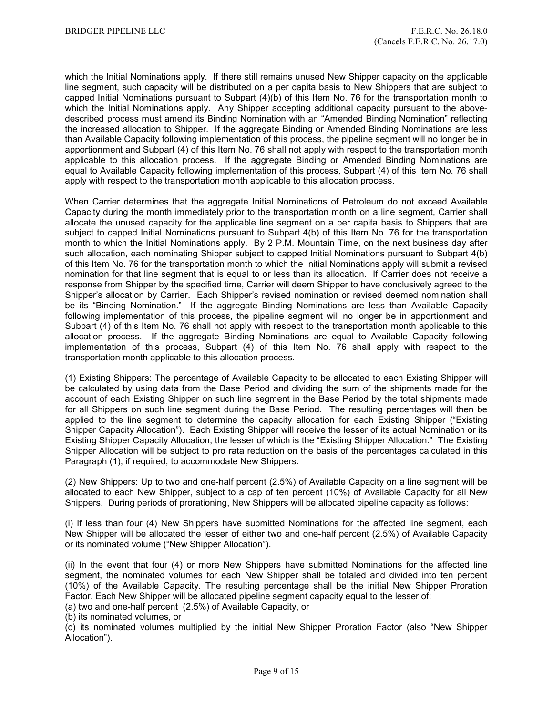which the Initial Nominations apply. If there still remains unused New Shipper capacity on the applicable line segment, such capacity will be distributed on a per capita basis to New Shippers that are subject to capped Initial Nominations pursuant to Subpart  $(4)(b)$  of this Item No. 76 for the transportation month to which the Initial Nominations apply. Any Shipper accepting additional capacity pursuant to the abovedescribed process must amend its Binding Nomination with an "Amended Binding Nomination" reflecting the increased allocation to Shipper. If the aggregate Binding or Amended Binding Nominations are less than Available Capacity following implementation of this process, the pipeline segment will no longer be in apportionment and Subpart (4) of this Item No. 76 shall not apply with respect to the transportation month applicable to this allocation process. If the aggregate Binding or Amended Binding Nominations are equal to Available Capacity following implementation of this process, Subpart (4) of this Item No. 76 shall apply with respect to the transportation month applicable to this allocation process.

When Carrier determines that the aggregate Initial Nominations of Petroleum do not exceed Available Capacity during the month immediately prior to the transportation month on a line segment, Carrier shall allocate the unused capacity for the applicable line segment on a per capita basis to Shippers that are subject to capped Initial Nominations pursuant to Subpart 4(b) of this Item No. 76 for the transportation month to which the Initial Nominations apply. By 2 P.M. Mountain Time, on the next business day after such allocation, each nominating Shipper subject to capped Initial Nominations pursuant to Subpart 4(b) of this Item No. 76 for the transportation month to which the Initial Nominations apply will submit a revised nomination for that line segment that is equal to or less than its allocation. If Carrier does not receive a response from Shipper by the specified time, Carrier will deem Shipper to have conclusively agreed to the Shipper's allocation by Carrier. Each Shipper's revised nomination or revised deemed nomination shall be its "Binding Nomination." If the aggregate Binding Nominations are less than Available Capacity following implementation of this process, the pipeline segment will no longer be in apportionment and Subpart (4) of this Item No. 76 shall not apply with respect to the transportation month applicable to this allocation process. If the aggregate Binding Nominations are equal to Available Capacity following implementation of this process, Subpart (4) of this Item No. 76 shall apply with respect to the transportation month applicable to this allocation process.

(1) Existing Shippers: The percentage of Available Capacity to be allocated to each Existing Shipper will be calculated by using data from the Base Period and dividing the sum of the shipments made for the account of each Existing Shipper on such line segment in the Base Period by the total shipments made for all Shippers on such line segment during the Base Period. The resulting percentages will then be applied to the line segment to determine the capacity allocation for each Existing Shipper ("Existing Shipper Capacity Allocation"). Each Existing Shipper will receive the lesser of its actual Nomination or its Existing Shipper Capacity Allocation, the lesser of which is the "Existing Shipper Allocation." The Existing Shipper Allocation will be subject to pro rata reduction on the basis of the percentages calculated in this Paragraph (1), if required, to accommodate New Shippers.

(2) New Shippers: Up to two and one-half percent (2.5%) of Available Capacity on a line segment will be allocated to each New Shipper, subject to a cap of ten percent (10%) of Available Capacity for all New Shippers. During periods of prorationing, New Shippers will be allocated pipeline capacity as follows:

(i) If less than four (4) New Shippers have submitted Nominations for the affected line segment, each New Shipper will be allocated the lesser of either two and one-half percent (2.5%) of Available Capacity or its nominated volume ("New Shipper Allocation").

(ii) In the event that four (4) or more New Shippers have submitted Nominations for the affected line segment, the nominated volumes for each New Shipper shall be totaled and divided into ten percent (10%) of the Available Capacity. The resulting percentage shall be the initial New Shipper Proration Factor. Each New Shipper will be allocated pipeline segment capacity equal to the lesser of: (a) two and one-half percent (2.5%) of Available Capacity, or

(b) its nominated volumes, or

(c) its nominated volumes multiplied by the initial New Shipper Proration Factor (also "New Shipper Allocation").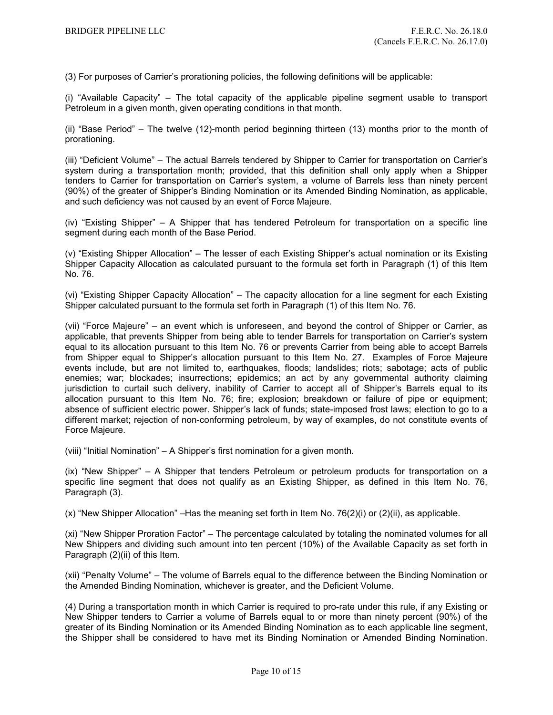(3) For purposes of Carrier's prorationing policies, the following definitions will be applicable:

(i) "Available Capacity" – The total capacity of the applicable pipeline segment usable to transport Petroleum in a given month, given operating conditions in that month.

(ii) "Base Period" – The twelve (12)-month period beginning thirteen (13) months prior to the month of prorationing.

(iii) "Deficient Volume" – The actual Barrels tendered by Shipper to Carrier for transportation on Carrier's system during a transportation month; provided, that this definition shall only apply when a Shipper tenders to Carrier for transportation on Carrier's system, a volume of Barrels less than ninety percent (90%) of the greater of Shipper's Binding Nomination or its Amended Binding Nomination, as applicable, and such deficiency was not caused by an event of Force Majeure.

(iv) "Existing Shipper" – A Shipper that has tendered Petroleum for transportation on a specific line segment during each month of the Base Period.

(v) "Existing Shipper Allocation" – The lesser of each Existing Shipper's actual nomination or its Existing Shipper Capacity Allocation as calculated pursuant to the formula set forth in Paragraph (1) of this Item No. 76.

(vi) "Existing Shipper Capacity Allocation" – The capacity allocation for a line segment for each Existing Shipper calculated pursuant to the formula set forth in Paragraph (1) of this Item No. 76.

(vii) "Force Majeure" – an event which is unforeseen, and beyond the control of Shipper or Carrier, as applicable, that prevents Shipper from being able to tender Barrels for transportation on Carrier's system equal to its allocation pursuant to this Item No. 76 or prevents Carrier from being able to accept Barrels from Shipper equal to Shipper's allocation pursuant to this Item No. 27. Examples of Force Majeure events include, but are not limited to, earthquakes, floods; landslides; riots; sabotage; acts of public enemies; war; blockades; insurrections; epidemics; an act by any governmental authority claiming jurisdiction to curtail such delivery, inability of Carrier to accept all of Shipper's Barrels equal to its allocation pursuant to this Item No. 76; fire; explosion; breakdown or failure of pipe or equipment; absence of sufficient electric power. Shipper's lack of funds; state-imposed frost laws; election to go to a different market; rejection of non-conforming petroleum, by way of examples, do not constitute events of Force Majeure.

(viii) "Initial Nomination" – A Shipper's first nomination for a given month.

(ix) "New Shipper" – A Shipper that tenders Petroleum or petroleum products for transportation on a specific line segment that does not qualify as an Existing Shipper, as defined in this Item No. 76, Paragraph (3).

 $(x)$  "New Shipper Allocation" – Has the meaning set forth in Item No. 76(2)(i) or (2)(ii), as applicable.

(xi) "New Shipper Proration Factor" – The percentage calculated by totaling the nominated volumes for all New Shippers and dividing such amount into ten percent (10%) of the Available Capacity as set forth in Paragraph (2)(ii) of this Item.

(xii) "Penalty Volume" – The volume of Barrels equal to the difference between the Binding Nomination or the Amended Binding Nomination, whichever is greater, and the Deficient Volume.

(4) During a transportation month in which Carrier is required to pro-rate under this rule, if any Existing or New Shipper tenders to Carrier a volume of Barrels equal to or more than ninety percent (90%) of the greater of its Binding Nomination or its Amended Binding Nomination as to each applicable line segment, the Shipper shall be considered to have met its Binding Nomination or Amended Binding Nomination.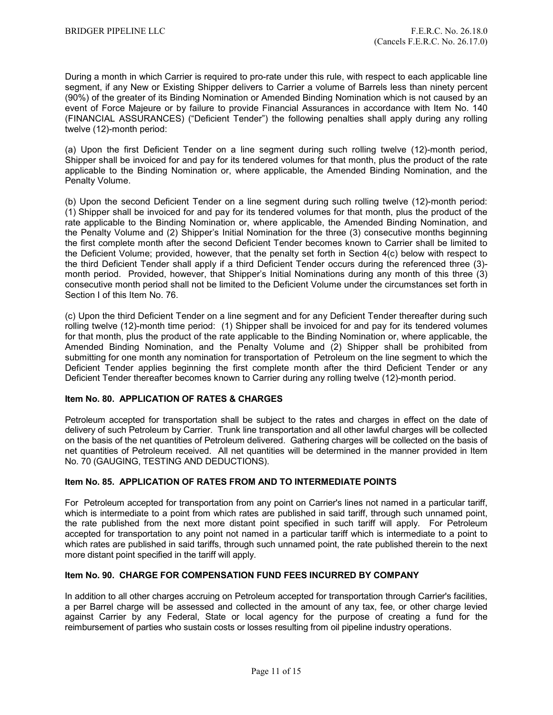During a month in which Carrier is required to pro-rate under this rule, with respect to each applicable line segment, if any New or Existing Shipper delivers to Carrier a volume of Barrels less than ninety percent (90%) of the greater of its Binding Nomination or Amended Binding Nomination which is not caused by an event of Force Majeure or by failure to provide Financial Assurances in accordance with Item No. 140 (FINANCIAL ASSURANCES) ("Deficient Tender") the following penalties shall apply during any rolling twelve (12)-month period:

(a) Upon the first Deficient Tender on a line segment during such rolling twelve (12)-month period, Shipper shall be invoiced for and pay for its tendered volumes for that month, plus the product of the rate applicable to the Binding Nomination or, where applicable, the Amended Binding Nomination, and the Penalty Volume.

(b) Upon the second Deficient Tender on a line segment during such rolling twelve (12)-month period: (1) Shipper shall be invoiced for and pay for its tendered volumes for that month, plus the product of the rate applicable to the Binding Nomination or, where applicable, the Amended Binding Nomination, and the Penalty Volume and (2) Shipper's Initial Nomination for the three (3) consecutive months beginning the first complete month after the second Deficient Tender becomes known to Carrier shall be limited to the Deficient Volume; provided, however, that the penalty set forth in Section 4(c) below with respect to the third Deficient Tender shall apply if a third Deficient Tender occurs during the referenced three (3) month period. Provided, however, that Shipper's Initial Nominations during any month of this three (3) consecutive month period shall not be limited to the Deficient Volume under the circumstances set forth in Section I of this Item No. 76.

(c) Upon the third Deficient Tender on a line segment and for any Deficient Tender thereafter during such rolling twelve (12)-month time period: (1) Shipper shall be invoiced for and pay for its tendered volumes for that month, plus the product of the rate applicable to the Binding Nomination or, where applicable, the Amended Binding Nomination, and the Penalty Volume and (2) Shipper shall be prohibited from submitting for one month any nomination for transportation of Petroleum on the line segment to which the Deficient Tender applies beginning the first complete month after the third Deficient Tender or any Deficient Tender thereafter becomes known to Carrier during any rolling twelve (12)-month period.

# **Item No. 80. APPLICATION OF RATES & CHARGES**

Petroleum accepted for transportation shall be subject to the rates and charges in effect on the date of delivery of such Petroleum by Carrier. Trunk line transportation and all other lawful charges will be collected on the basis of the net quantities of Petroleum delivered. Gathering charges will be collected on the basis of net quantities of Petroleum received. All net quantities will be determined in the manner provided in Item No. 70 (GAUGING, TESTING AND DEDUCTIONS).

# **Item No. 85. APPLICATION OF RATES FROM AND TO INTERMEDIATE POINTS**

For Petroleum accepted for transportation from any point on Carrier's lines not named in a particular tariff, which is intermediate to a point from which rates are published in said tariff, through such unnamed point, the rate published from the next more distant point specified in such tariff will apply. For Petroleum accepted for transportation to any point not named in a particular tariff which is intermediate to a point to which rates are published in said tariffs, through such unnamed point, the rate published therein to the next more distant point specified in the tariff will apply.

# **Item No. 90. CHARGE FOR COMPENSATION FUND FEES INCURRED BY COMPANY**

In addition to all other charges accruing on Petroleum accepted for transportation through Carrier's facilities, a per Barrel charge will be assessed and collected in the amount of any tax, fee, or other charge levied against Carrier by any Federal, State or local agency for the purpose of creating a fund for the reimbursement of parties who sustain costs or losses resulting from oil pipeline industry operations.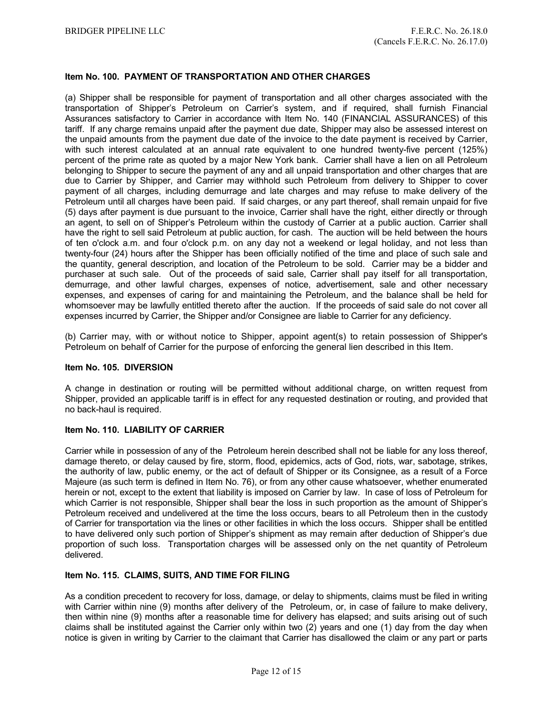# **Item No. 100. PAYMENT OF TRANSPORTATION AND OTHER CHARGES**

(a) Shipper shall be responsible for payment of transportation and all other charges associated with the transportation of Shipper's Petroleum on Carrier's system, and if required, shall furnish Financial Assurances satisfactory to Carrier in accordance with Item No. 140 (FINANCIAL ASSURANCES) of this tariff. If any charge remains unpaid after the payment due date, Shipper may also be assessed interest on the unpaid amounts from the payment due date of the invoice to the date payment is received by Carrier, with such interest calculated at an annual rate equivalent to one hundred twenty-five percent (125%) percent of the prime rate as quoted by a major New York bank. Carrier shall have a lien on all Petroleum belonging to Shipper to secure the payment of any and all unpaid transportation and other charges that are due to Carrier by Shipper, and Carrier may withhold such Petroleum from delivery to Shipper to cover payment of all charges, including demurrage and late charges and may refuse to make delivery of the Petroleum until all charges have been paid. If said charges, or any part thereof, shall remain unpaid for five (5) days after payment is due pursuant to the invoice, Carrier shall have the right, either directly or through an agent, to sell on of Shipper's Petroleum within the custody of Carrier at a public auction. Carrier shall have the right to sell said Petroleum at public auction, for cash. The auction will be held between the hours of ten o'clock a.m. and four o'clock p.m. on any day not a weekend or legal holiday, and not less than twenty-four (24) hours after the Shipper has been officially notified of the time and place of such sale and the quantity, general description, and location of the Petroleum to be sold. Carrier may be a bidder and purchaser at such sale. Out of the proceeds of said sale, Carrier shall pay itself for all transportation, demurrage, and other lawful charges, expenses of notice, advertisement, sale and other necessary expenses, and expenses of caring for and maintaining the Petroleum, and the balance shall be held for whomsoever may be lawfully entitled thereto after the auction. If the proceeds of said sale do not cover all expenses incurred by Carrier, the Shipper and/or Consignee are liable to Carrier for any deficiency.

(b) Carrier may, with or without notice to Shipper, appoint agent(s) to retain possession of Shipper's Petroleum on behalf of Carrier for the purpose of enforcing the general lien described in this Item.

# **Item No. 105. DIVERSION**

A change in destination or routing will be permitted without additional charge, on written request from Shipper, provided an applicable tariff is in effect for any requested destination or routing, and provided that no back-haul is required.

# **Item No. 110. LIABILITY OF CARRIER**

Carrier while in possession of any of the Petroleum herein described shall not be liable for any loss thereof, damage thereto, or delay caused by fire, storm, flood, epidemics, acts of God, riots, war, sabotage, strikes, the authority of law, public enemy, or the act of default of Shipper or its Consignee, as a result of a Force Majeure (as such term is defined in Item No. 76), or from any other cause whatsoever, whether enumerated herein or not, except to the extent that liability is imposed on Carrier by law. In case of loss of Petroleum for which Carrier is not responsible, Shipper shall bear the loss in such proportion as the amount of Shipper's Petroleum received and undelivered at the time the loss occurs, bears to all Petroleum then in the custody of Carrier for transportation via the lines or other facilities in which the loss occurs. Shipper shall be entitled to have delivered only such portion of Shipper's shipment as may remain after deduction of Shipper's due proportion of such loss. Transportation charges will be assessed only on the net quantity of Petroleum delivered.

#### **Item No. 115. CLAIMS, SUITS, AND TIME FOR FILING**

As a condition precedent to recovery for loss, damage, or delay to shipments, claims must be filed in writing with Carrier within nine (9) months after delivery of the Petroleum, or, in case of failure to make delivery, then within nine (9) months after a reasonable time for delivery has elapsed; and suits arising out of such claims shall be instituted against the Carrier only within two (2) years and one (1) day from the day when notice is given in writing by Carrier to the claimant that Carrier has disallowed the claim or any part or parts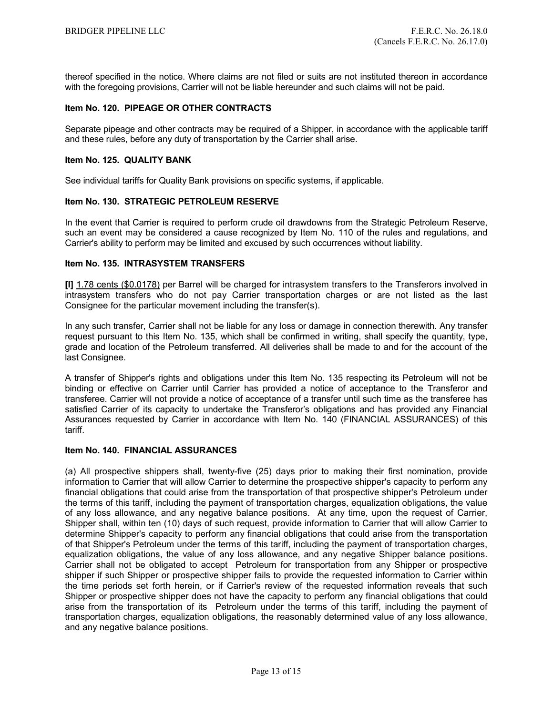thereof specified in the notice. Where claims are not filed or suits are not instituted thereon in accordance with the foregoing provisions, Carrier will not be liable hereunder and such claims will not be paid.

# **Item No. 120. PIPEAGE OR OTHER CONTRACTS**

Separate pipeage and other contracts may be required of a Shipper, in accordance with the applicable tariff and these rules, before any duty of transportation by the Carrier shall arise.

# **Item No. 125. QUALITY BANK**

See individual tariffs for Quality Bank provisions on specific systems, if applicable.

# **Item No. 130. STRATEGIC PETROLEUM RESERVE**

In the event that Carrier is required to perform crude oil drawdowns from the Strategic Petroleum Reserve, such an event may be considered a cause recognized by Item No. 110 of the rules and regulations, and Carrier's ability to perform may be limited and excused by such occurrences without liability.

# **Item No. 135. INTRASYSTEM TRANSFERS**

**[I]** 1.78 cents (\$0.0178) per Barrel will be charged for intrasystem transfers to the Transferors involved in intrasystem transfers who do not pay Carrier transportation charges or are not listed as the last Consignee for the particular movement including the transfer(s).

In any such transfer, Carrier shall not be liable for any loss or damage in connection therewith. Any transfer request pursuant to this Item No. 135, which shall be confirmed in writing, shall specify the quantity, type, grade and location of the Petroleum transferred. All deliveries shall be made to and for the account of the last Consignee.

A transfer of Shipper's rights and obligations under this Item No. 135 respecting its Petroleum will not be binding or effective on Carrier until Carrier has provided a notice of acceptance to the Transferor and transferee. Carrier will not provide a notice of acceptance of a transfer until such time as the transferee has satisfied Carrier of its capacity to undertake the Transferor's obligations and has provided any Financial Assurances requested by Carrier in accordance with Item No. 140 (FINANCIAL ASSURANCES) of this tariff.

#### **Item No. 140. FINANCIAL ASSURANCES**

(a) All prospective shippers shall, twenty-five (25) days prior to making their first nomination, provide information to Carrier that will allow Carrier to determine the prospective shipper's capacity to perform any financial obligations that could arise from the transportation of that prospective shipper's Petroleum under the terms of this tariff, including the payment of transportation charges, equalization obligations, the value of any loss allowance, and any negative balance positions. At any time, upon the request of Carrier, Shipper shall, within ten (10) days of such request, provide information to Carrier that will allow Carrier to determine Shipper's capacity to perform any financial obligations that could arise from the transportation of that Shipper's Petroleum under the terms of this tariff, including the payment of transportation charges, equalization obligations, the value of any loss allowance, and any negative Shipper balance positions. Carrier shall not be obligated to accept Petroleum for transportation from any Shipper or prospective shipper if such Shipper or prospective shipper fails to provide the requested information to Carrier within the time periods set forth herein, or if Carrier's review of the requested information reveals that such Shipper or prospective shipper does not have the capacity to perform any financial obligations that could arise from the transportation of its Petroleum under the terms of this tariff, including the payment of transportation charges, equalization obligations, the reasonably determined value of any loss allowance, and any negative balance positions.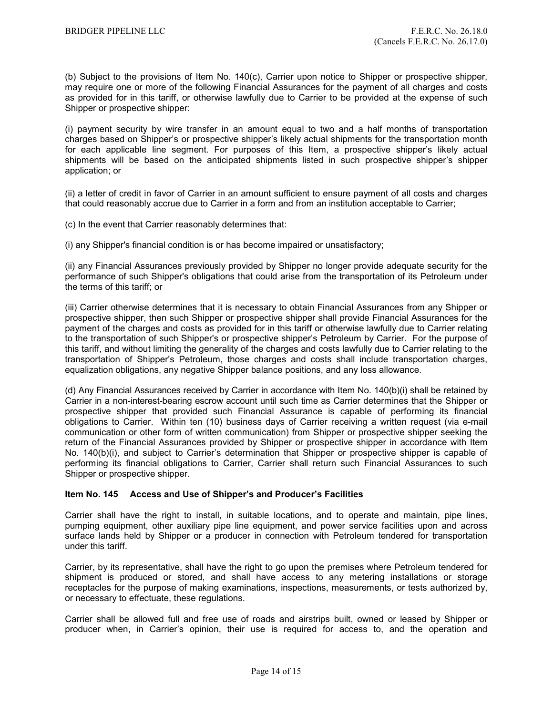(b) Subject to the provisions of Item No. 140(c), Carrier upon notice to Shipper or prospective shipper, may require one or more of the following Financial Assurances for the payment of all charges and costs as provided for in this tariff, or otherwise lawfully due to Carrier to be provided at the expense of such Shipper or prospective shipper:

(i) payment security by wire transfer in an amount equal to two and a half months of transportation charges based on Shipper's or prospective shipper's likely actual shipments for the transportation month for each applicable line segment. For purposes of this Item, a prospective shipper's likely actual shipments will be based on the anticipated shipments listed in such prospective shipper's shipper application; or

(ii) a letter of credit in favor of Carrier in an amount sufficient to ensure payment of all costs and charges that could reasonably accrue due to Carrier in a form and from an institution acceptable to Carrier;

(c) In the event that Carrier reasonably determines that:

(i) any Shipper's financial condition is or has become impaired or unsatisfactory;

(ii) any Financial Assurances previously provided by Shipper no longer provide adequate security for the performance of such Shipper's obligations that could arise from the transportation of its Petroleum under the terms of this tariff; or

(iii) Carrier otherwise determines that it is necessary to obtain Financial Assurances from any Shipper or prospective shipper, then such Shipper or prospective shipper shall provide Financial Assurances for the payment of the charges and costs as provided for in this tariff or otherwise lawfully due to Carrier relating to the transportation of such Shipper's or prospective shipper's Petroleum by Carrier. For the purpose of this tariff, and without limiting the generality of the charges and costs lawfully due to Carrier relating to the transportation of Shipper's Petroleum, those charges and costs shall include transportation charges, equalization obligations, any negative Shipper balance positions, and any loss allowance.

(d) Any Financial Assurances received by Carrier in accordance with Item No. 140(b)(i) shall be retained by Carrier in a non-interest-bearing escrow account until such time as Carrier determines that the Shipper or prospective shipper that provided such Financial Assurance is capable of performing its financial obligations to Carrier. Within ten (10) business days of Carrier receiving a written request (via e-mail communication or other form of written communication) from Shipper or prospective shipper seeking the return of the Financial Assurances provided by Shipper or prospective shipper in accordance with Item No. 140(b)(i), and subject to Carrier's determination that Shipper or prospective shipper is capable of performing its financial obligations to Carrier, Carrier shall return such Financial Assurances to such Shipper or prospective shipper.

# **Item No. 145 Access and Use of Shipper's and Producer's Facilities**

Carrier shall have the right to install, in suitable locations, and to operate and maintain, pipe lines, pumping equipment, other auxiliary pipe line equipment, and power service facilities upon and across surface lands held by Shipper or a producer in connection with Petroleum tendered for transportation under this tariff.

Carrier, by its representative, shall have the right to go upon the premises where Petroleum tendered for shipment is produced or stored, and shall have access to any metering installations or storage receptacles for the purpose of making examinations, inspections, measurements, or tests authorized by, or necessary to effectuate, these regulations.

Carrier shall be allowed full and free use of roads and airstrips built, owned or leased by Shipper or producer when, in Carrier's opinion, their use is required for access to, and the operation and